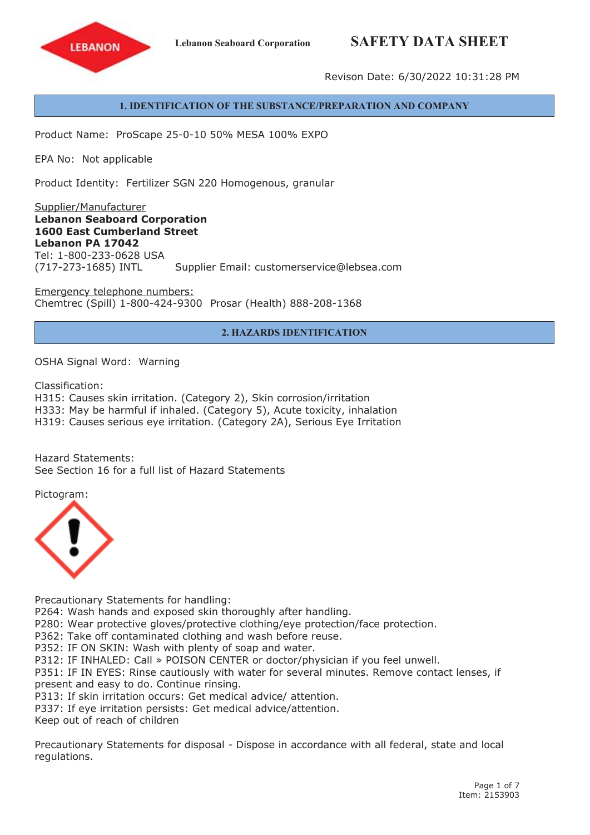## **Lebanon Seaboard Corporation SAFETY DATA SHEET**



Revison Date: 6/30/2022 10:31:28 PM

#### **1. IDENTIFICATION OF THE SUBSTANCE/PREPARATION AND COMPANY**

Product Name: ProScape 25-0-10 50% MESA 100% EXPO

EPA No: Not applicable

Product Identity: Fertilizer SGN 220 Homogenous, granular

Supplier/Manufacturer **Lebanon Seaboard Corporation 1600 East Cumberland Street Lebanon PA 17042** Tel: 1-800-233-0628 USA (717-273-1685) INTL Supplier Email: customerservice@lebsea.com

Emergency telephone numbers: Chemtrec (Spill) 1-800-424-9300 Prosar (Health) 888-208-1368

#### **2. HAZARDS IDENTIFICATION**

OSHA Signal Word: Warning

Classification:

H315: Causes skin irritation. (Category 2), Skin corrosion/irritation

H333: May be harmful if inhaled. (Category 5), Acute toxicity, inhalation

H319: Causes serious eye irritation. (Category 2A), Serious Eye Irritation

Hazard Statements: See Section 16 for a full list of Hazard Statements

Pictogram:



Precautionary Statements for handling:

P264: Wash hands and exposed skin thoroughly after handling.

P280: Wear protective gloves/protective clothing/eye protection/face protection.

P362: Take off contaminated clothing and wash before reuse.

P352: IF ON SKIN: Wash with plenty of soap and water.

P312: IF INHALED: Call » POISON CENTER or doctor/physician if you feel unwell.

P351: IF IN EYES: Rinse cautiously with water for several minutes. Remove contact lenses, if present and easy to do. Continue rinsing.

P313: If skin irritation occurs: Get medical advice/ attention.

P337: If eye irritation persists: Get medical advice/attention.

Keep out of reach of children

Precautionary Statements for disposal - Dispose in accordance with all federal, state and local regulations.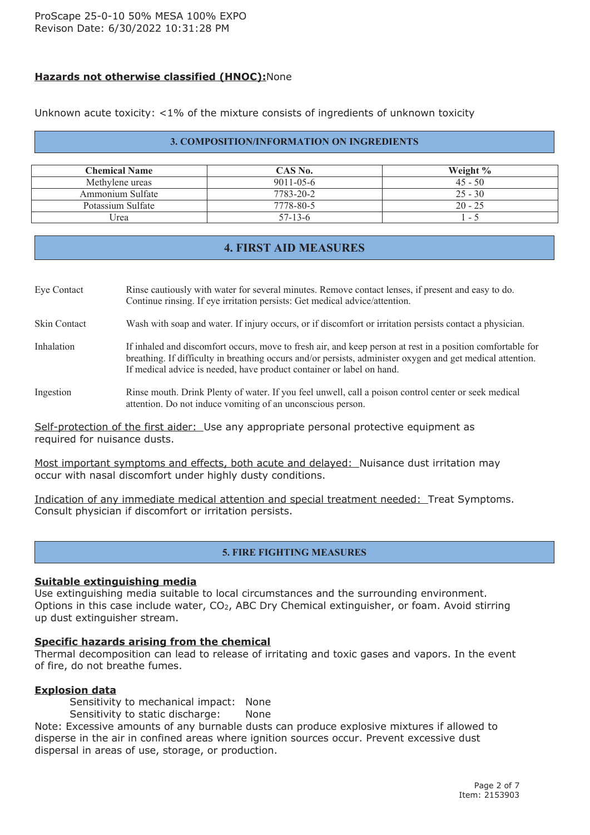## **Hazards not otherwise classified (HNOC):**None

Unknown acute toxicity: <1% of the mixture consists of ingredients of unknown toxicity

#### **3. COMPOSITION/INFORMATION ON INGREDIENTS**

| <b>Chemical Name</b> | CAS No.         | Weight $\%$              |
|----------------------|-----------------|--------------------------|
| Methylene ureas      | $9011 - 05 - 6$ | $45 - 50$                |
| Ammonium Sulfate     | 7783-20-2       | $25 - 30$                |
| Potassium Sulfate    | 7778-80-5       | $20 - 25$                |
| Jrea                 | $57-13-6$       | $\overline{\phantom{0}}$ |

## **4. FIRST AID MEASURES**

Eye Contact Rinse cautiously with water for several minutes. Remove contact lenses, if presen<sup>t</sup> and easy to do. Continue rinsing. If eye irritation persists: Get medical advice/attention.

Skin Contact Wash with soap and water. If injury occurs, or if discomfort or irritation persists contact <sup>a</sup> physician.

Inhalation If inhaled and discomfort occurs, move to fresh air, and keep person at rest in a position comfortable for breathing. If difficulty in breathing occurs and/or persists, administer oxygen and ge<sup>t</sup> medical attention. If medical advice is needed, have product container or label on hand.

#### Ingestion Rinse mouth. Drink Plenty of water. If you feel unwell, call <sup>a</sup> poison control center or seek medical attention. Do not induce vomiting of an unconscious person.

Self-protection of the first aider: Use any appropriate personal protective equipment as required for nuisance dusts.

Most important symptoms and effects, both acute and delayed: Nuisance dust irritation may occur with nasal discomfort under highly dusty conditions.

Indication of any immediate medical attention and special treatment needed: Treat Symptoms. Consult physician if discomfort or irritation persists.

## **5. FIRE FIGHTING MEASURES**

#### **Suitable extinguishing media**

Use extinguishing media suitable to local circumstances and the surrounding environment. Options in this case include water, CO<sub>2</sub>, ABC Dry Chemical extinguisher, or foam. Avoid stirring up dust extinguisher stream.

#### **Specific hazards arising from the chemical**

Thermal decomposition can lead to release of irritating and toxic gases and vapors. In the event of fire, do not breathe fumes.

#### **Explosion data**

Sensitivity to mechanical impact: None

Sensitivity to static discharge: None

Note: Excessive amounts of any burnable dusts can produce explosive mixtures if allowed to disperse in the air in confined areas where ignition sources occur. Prevent excessive dust dispersal in areas of use, storage, or production.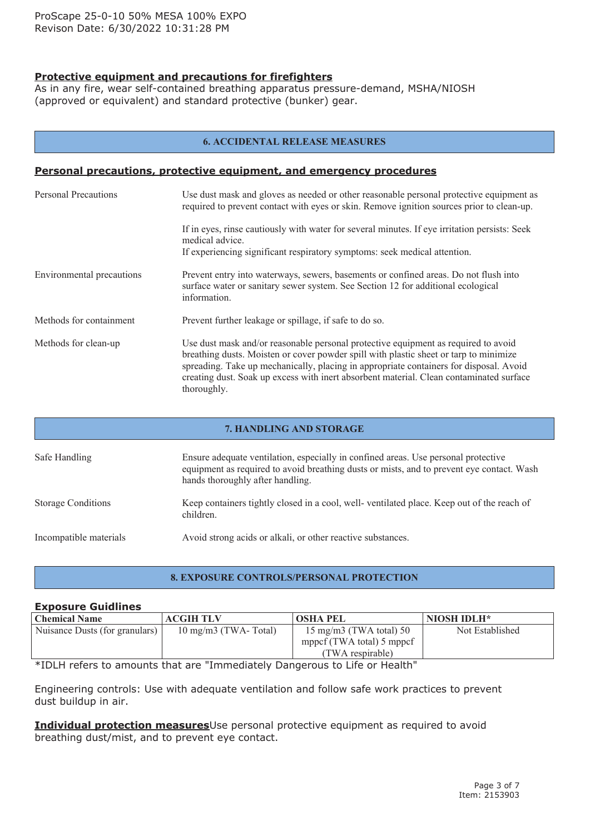## **Protective equipment and precautions for firefighters**

As in any fire, wear self-contained breathing apparatus pressure-demand, MSHA/NIOSH (approved or equivalent) and standard protective (bunker) gear.

#### **6. ACCIDENTAL RELEASE MEASURES**

## **Personal precautions, protective equipment, and emergency procedures**

| <b>Personal Precautions</b> | Use dust mask and gloves as needed or other reasonable personal protective equipment as<br>required to prevent contact with eyes or skin. Remove ignition sources prior to clean-up.                                                                                                                                                                                            |
|-----------------------------|---------------------------------------------------------------------------------------------------------------------------------------------------------------------------------------------------------------------------------------------------------------------------------------------------------------------------------------------------------------------------------|
|                             | If in eyes, rinse cautiously with water for several minutes. If eye irritation persists: Seek<br>medical advice.<br>If experiencing significant respiratory symptoms: seek medical attention.                                                                                                                                                                                   |
| Environmental precautions   | Prevent entry into waterways, sewers, basements or confined areas. Do not flush into<br>surface water or sanitary sewer system. See Section 12 for additional ecological<br>information.                                                                                                                                                                                        |
| Methods for containment     | Prevent further leakage or spillage, if safe to do so.                                                                                                                                                                                                                                                                                                                          |
| Methods for clean-up        | Use dust mask and/or reasonable personal protective equipment as required to avoid<br>breathing dusts. Moisten or cover powder spill with plastic sheet or tarp to minimize<br>spreading. Take up mechanically, placing in appropriate containers for disposal. Avoid<br>creating dust. Soak up excess with inert absorbent material. Clean contaminated surface<br>thoroughly. |

# **7. HANDLING AND STORAGE** Safe Handling Ensure adequate ventilation, especially in confined areas. Use personal protective equipment as required to avoid breathing dusts or mists, and to preven<sup>t</sup> eye contact. Wash hands thoroughly after handling. Storage Conditions Keep containers tightly closed in <sup>a</sup> cool, well- ventilated place. Keep out of the reach of children. Incompatible materials Avoid strong acids or alkali, or other reactive substances.

#### **8. EXPOSURE CONTROLS/PERSONAL PROTECTION**

#### **Exposure Guidlines**

| <b>Chemical Name</b>           | <b>ACGIH TLV</b>              | <b>OSHA PEL</b>                  | NIOSH IDLH*     |
|--------------------------------|-------------------------------|----------------------------------|-----------------|
| Nuisance Dusts (for granulars) | $10 \text{ mg/m}$ (TWA-Total) | $15 \text{ mg/m}$ (TWA total) 50 | Not Established |
|                                |                               | mppcf (TWA total) 5 mppcf        |                 |
|                                |                               | (TWA respirable)                 |                 |

\*IDLH refers to amounts that are "Immediately Dangerous to Life or Health"

Engineering controls: Use with adequate ventilation and follow safe work practices to prevent dust buildup in air.

**Individual protection measures**Use personal protective equipment as required to avoid breathing dust/mist, and to prevent eye contact.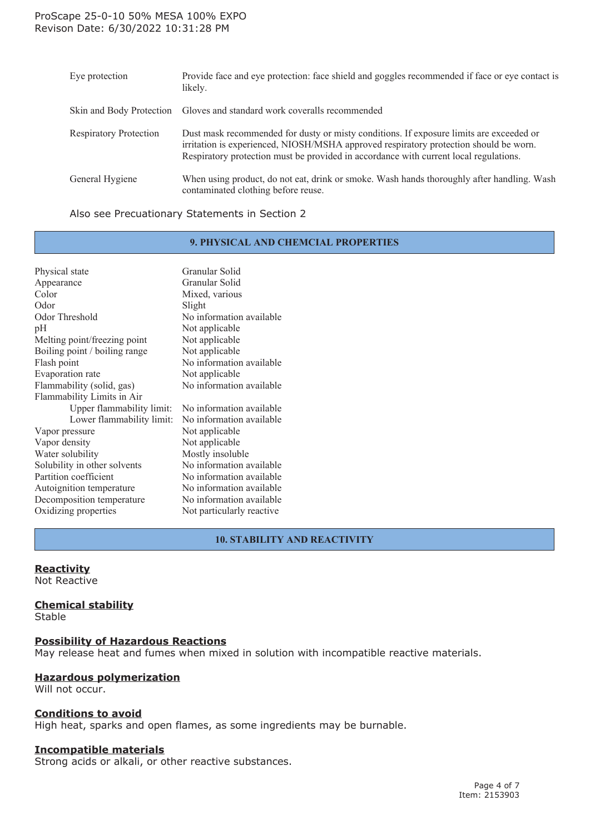#### ProScape 25-0-10 50% MESA 100% EXPO Revison Date: 6/30/2022 10:31:28 PM

| Eye protection                | Provide face and eye protection: face shield and goggles recommended if face or eye contact is<br>likely.                                                                                                                                                                 |
|-------------------------------|---------------------------------------------------------------------------------------------------------------------------------------------------------------------------------------------------------------------------------------------------------------------------|
| Skin and Body Protection      | Gloves and standard work coveralls recommended                                                                                                                                                                                                                            |
| <b>Respiratory Protection</b> | Dust mask recommended for dusty or misty conditions. If exposure limits are exceeded or<br>irritation is experienced, NIOSH/MSHA approved respiratory protection should be worn.<br>Respiratory protection must be provided in accordance with current local regulations. |
| General Hygiene               | When using product, do not eat, drink or smoke. Wash hands thoroughly after handling. Wash<br>contaminated clothing before reuse.                                                                                                                                         |

#### Also see Precuationary Statements in Section 2

#### **9. PHYSICAL AND CHEMCIAL PROPERTIES**

| Physical state                | Granular Solid            |
|-------------------------------|---------------------------|
| Appearance                    | Granular Solid            |
| Color                         | Mixed, various            |
| Odor                          | Slight                    |
| Odor Threshold                | No information available  |
| pH                            | Not applicable            |
| Melting point/freezing point  | Not applicable            |
| Boiling point / boiling range | Not applicable            |
| Flash point                   | No information available  |
| Evaporation rate              | Not applicable            |
| Flammability (solid, gas)     | No information available  |
| Flammability Limits in Air    |                           |
| Upper flammability limit:     | No information available  |
| Lower flammability limit:     | No information available  |
| Vapor pressure                | Not applicable            |
| Vapor density                 | Not applicable            |
| Water solubility              | Mostly insoluble          |
| Solubility in other solvents  | No information available  |
| Partition coefficient         | No information available  |
| Autoignition temperature      | No information available  |
| Decomposition temperature     | No information available  |
| Oxidizing properties          | Not particularly reactive |
|                               |                           |

## **10. STABILITY AND REACTIVITY**

#### **Reactivity**

Not Reactive

#### **Chemical stability**

Stable

#### **Possibility of Hazardous Reactions**

May release heat and fumes when mixed in solution with incompatible reactive materials.

## **Hazardous polymerization**

Will not occur.

#### **Conditions to avoid**

High heat, sparks and open flames, as some ingredients may be burnable.

#### **Incompatible materials**

Strong acids or alkali, or other reactive substances.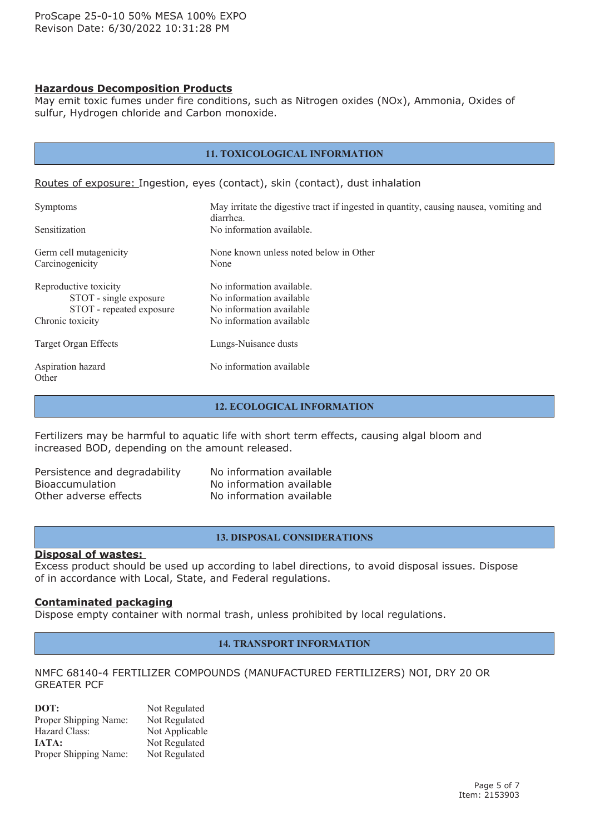#### **Hazardous Decomposition Products**

May emit toxic fumes under fire conditions, such as Nitrogen oxides (NOx), Ammonia, Oxides of sulfur, Hydrogen chloride and Carbon monoxide.

| <b>11. TOXICOLOGICAL INFORMATION</b>                                                            |                                                                                                               |  |
|-------------------------------------------------------------------------------------------------|---------------------------------------------------------------------------------------------------------------|--|
|                                                                                                 | Routes of exposure: Ingestion, eyes (contact), skin (contact), dust inhalation                                |  |
| <b>Symptoms</b>                                                                                 | May irritate the digestive tract if ingested in quantity, causing nausea, vomiting and                        |  |
| Sensitization                                                                                   | diarrhea.<br>No information available.                                                                        |  |
| Germ cell mutagenicity<br>Carcinogenicity                                                       | None known unless noted below in Other<br>None                                                                |  |
| Reproductive toxicity<br>STOT - single exposure<br>STOT - repeated exposure<br>Chronic toxicity | No information available.<br>No information available<br>No information available<br>No information available |  |
| Target Organ Effects                                                                            | Lungs-Nuisance dusts                                                                                          |  |
| Aspiration hazard<br>Other                                                                      | No information available                                                                                      |  |

#### **12. ECOLOGICAL INFORMATION**

Fertilizers may be harmful to aquatic life with short term effects, causing algal bloom and increased BOD, depending on the amount released.

| Persistence and degradability |
|-------------------------------|
| <b>Bioaccumulation</b>        |
| Other adverse effects         |

No information available No information available No information available

#### **13. DISPOSAL CONSIDERATIONS**

#### **Disposal of wastes:**

Excess product should be used up according to label directions, to avoid disposal issues. Dispose of in accordance with Local, State, and Federal regulations.

#### **Contaminated packaging**

Dispose empty container with normal trash, unless prohibited by local regulations.

#### **14. TRANSPORT INFORMATION**

#### NMFC 68140-4 FERTILIZER COMPOUNDS (MANUFACTURED FERTILIZERS) NOI, DRY 20 OR GREATER PCF

| DOT:                  | Not Regulated  |
|-----------------------|----------------|
| Proper Shipping Name: | Not Regulated  |
| Hazard Class:         | Not Applicable |
| <b>JATA:</b>          | Not Regulated  |
| Proper Shipping Name: | Not Regulated  |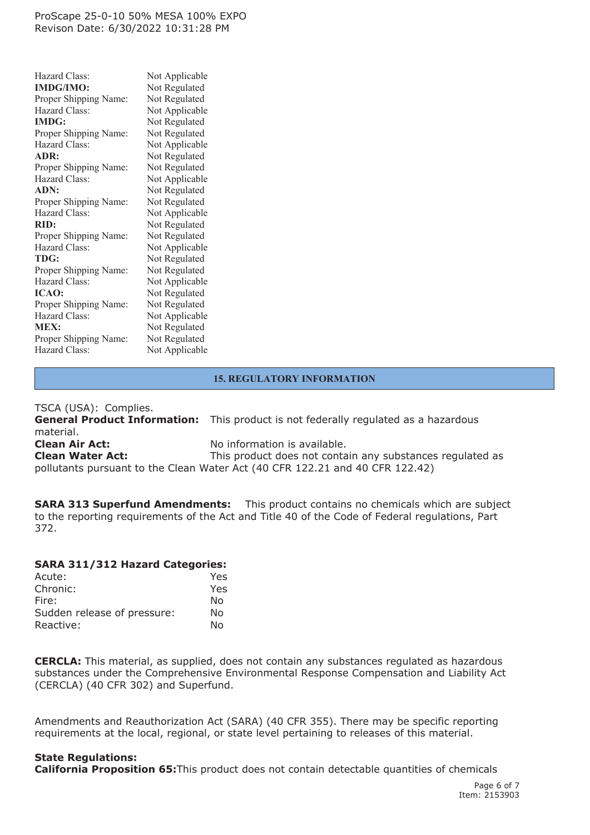#### ProScape 25-0-10 50% MESA 100% EXPO Revison Date: 6/30/2022 10:31:28 PM

| Hazard Class:         | Not Applicable |
|-----------------------|----------------|
| <b>IMDG/IMO:</b>      | Not Regulated  |
| Proper Shipping Name: | Not Regulated  |
| Hazard Class:         | Not Applicable |
| <b>IMDG:</b>          | Not Regulated  |
| Proper Shipping Name: | Not Regulated  |
| Hazard Class:         | Not Applicable |
| ADR:                  | Not Regulated  |
| Proper Shipping Name: | Not Regulated  |
| Hazard Class:         | Not Applicable |
| ADN:                  | Not Regulated  |
| Proper Shipping Name: | Not Regulated  |
| Hazard Class:         | Not Applicable |
| RID:                  | Not Regulated  |
| Proper Shipping Name: | Not Regulated  |
| Hazard Class:         | Not Applicable |
| <b>TDG:</b>           | Not Regulated  |
| Proper Shipping Name: | Not Regulated  |
| Hazard Class:         | Not Applicable |
| <b>ICAO:</b>          | Not Regulated  |
| Proper Shipping Name: | Not Regulated  |
| Hazard Class:         | Not Applicable |
| <b>MEX:</b>           | Not Regulated  |
| Proper Shipping Name: | Not Regulated  |
| Hazard Class:         | Not Applicable |

## **15. REGULATORY INFORMATION**

TSCA (USA): Complies. **General Product Information:** This product is not federally regulated as <sup>a</sup> hazardous material. **Clean Air Act:** No information is available. **Clean Water Act:** This product does not contain any substances regulated as pollutants pursuant to the Clean Water Act (40 CFR 122.21 and 40 CFR 122.42)

**SARA 313 Superfund Amendments:** This product contains no chemicals which are subject to the reporting requirements of the Act and Title 40 of the Code of Federal regulations, Part 372.

#### **SARA 311/312 Hazard Categories:**

| Yes. |
|------|
| Yes  |
| No   |
| No   |
| N٥   |
|      |

**CERCLA:** This material, as supplied, does not contain any substances regulated as hazardous substances under the Comprehensive Environmental Response Compensation and Liability Act (CERCLA) (40 CFR 302) and Superfund.

Amendments and Reauthorization Act (SARA) (40 CFR 355). There may be specific reporting requirements at the local, regional, or state level pertaining to releases of this material.

#### **State Regulations:**

**California Proposition 65:**This product does not contain detectable quantities of chemicals